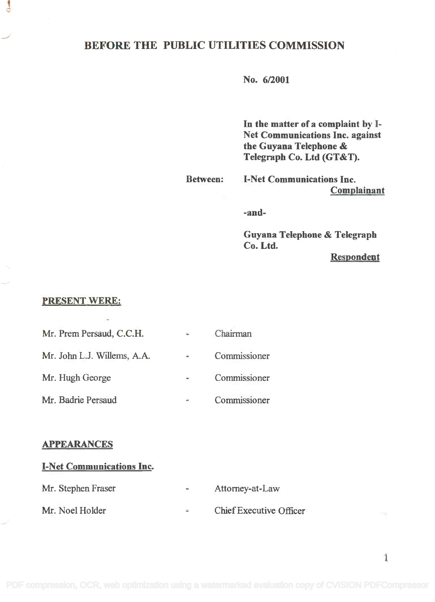# BEFORE THE PUBLIC UTILITIES COMMISSION

No. 6/2001

In the matter of a complaint by I-In the matter of a complaint by 1- Net Communications Inc. against Net Communications Inc. against the Guyana Telephone & the Guyana Telephone & Telegraph Co. Ltd (GT&T).

Between: I-Net Communications Inc. I-Net Communications Inc.

Complainant Complainant

-and-

Guyana Telephone & Telegraph Guyana Telephone & Telegraph Co. Ltd. Co. Ltd.

Respondent

### PRESENT WERE:

 $\mathbf{J}$ 

| Mr. Prem Persäud, C.C.H.    | 'n.                          | Chairman     |
|-----------------------------|------------------------------|--------------|
| Mr. John L.J. Willems, A.A. | $\qquad \qquad \blacksquare$ | Commissioner |
| Mr. Hugh George             |                              | Commissioner |
| Mr. Badrie Persaud          | $\cong$                      | Commissioner |

#### APPEARANCES

### I-Net Communications Inc.

| Mr. Stephen Fraser |  | Attorney-at-Law |
|--------------------|--|-----------------|
|--------------------|--|-----------------|

Mr. Noel Holder Chief Executive Officer  $\frac{1}{2}$ 

1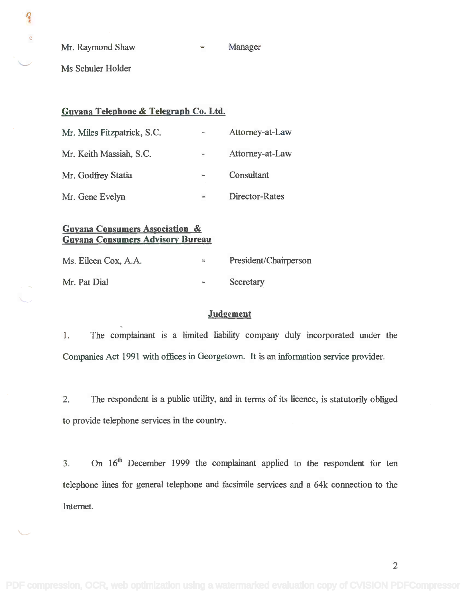Mr. Raymond Shaw Same Manager

Ms Schuler Holder

 $\overline{P}$ 

¢

## Guyana Telephone & Telegraph Co. Ltd.

| Mr. Miles Fitzpatrick, S.C. | $\Rightarrow$     | Attorney-at-Law |
|-----------------------------|-------------------|-----------------|
| Mr. Keith Massiah, S.C.     | $\qquad \qquad =$ | Attorney-at-Law |
| Mr. Godfrey Statia          | 'n,               | Consultant      |
| Mr. Gene Evelyn             | $\frac{1}{2}$     | Director-Rates  |

# Guyana Consumers Association & **Guyana Consumers Association &** Guyana Consumers Advisory Bureau **Guyana Consumers Advisory Bureau**

| Ms. Eileen Cox, A.A. | $\mathcal{L}_{\text{max}}$ | President/Chairperson |
|----------------------|----------------------------|-----------------------|
| Mr. Pat Dial         | $\bar{z}$                  | Secretary             |

### **Judgement**

1. The complainant is a limited liability company duly incorporated under the Companies Act 1991 with offices in Georgetown. It is an information service provider.

2. The respondent is a public utility, and in terms of its licence, is statutorily obliged to provide telephone services in the country.

3. On 16<sup>th</sup> December 1999 the complainant applied to the respondent for ten telephone lines for general telephone and facsimile services and a 64k connection to the Internet.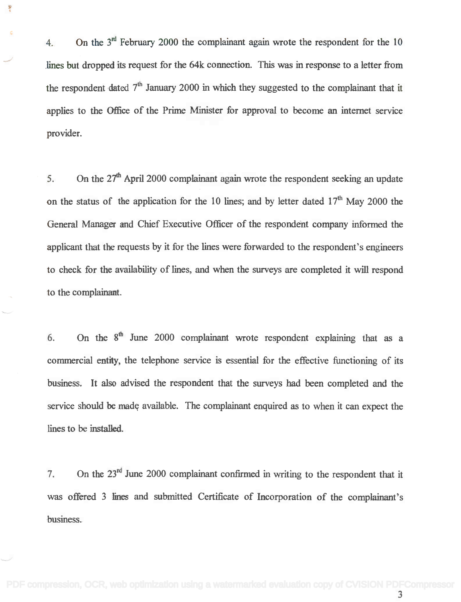4. On the  $3<sup>nd</sup>$  February 2000 the complainant again wrote the respondent for the 10 lines but dropped its request for the 64k connection. This was in response to a letter from the respondent dated  $7<sup>th</sup>$  January 2000 in which they suggested to the complainant that it applies to the Office of the Prime Minister for approval to become an internet service provider.

ş

5. On the  $27<sup>th</sup>$  April 2000 complainant again wrote the respondent seeking an update on the status of the application for the 10 lines; and by letter dated  $17<sup>th</sup>$  May 2000 the General Manager and Chief Executive Officer of the respondent company informed the applicant that the requests by it for the lines were forwarded to the respondent's engineers to check for the availability of lines, and when the surveys are completed it will respond to the complainant.

6. On the  $8<sup>th</sup>$  June 2000 complainant wrote respondent explaining that as a commercial entity, the telephone service is essential for the effective functioning of its business. It also advised the respondent that the surveys had been completed and the service should be made available. The complainant enquired as to when it can expect the lines to be installed.

7. On the  $23<sup>rd</sup>$  June 2000 complainant confirmed in writing to the respondent that it was offered 3 lines and submitted Certificate of Incorporation of the complainant's business.

3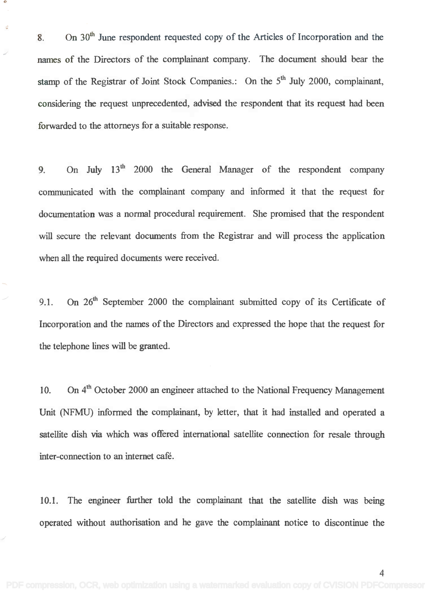8. On  $30<sup>th</sup>$  June respondent requested copy of the Articles of Incorporation and the names of the Directors of the complainant company. The document should bear the stamp of the Registrar of Joint Stock Companies.: On the 5<sup>th</sup> July 2000, complainant, considering the request unprecedented, advised the respondent that its request had been considering the request unprecedented, advised the respondent that its request had been forwarded to the attorneys for a suitable response. forwarded to the attorneys for a suitable response.

9. On July 13<sup>th</sup> 2000 the General Manager of the respondent company communicated with the complainant company and informed it that the request for communicated with the complainant company and informed it that the request for documentation was a normal procedural requirement. She promised that the respondent documentation was a normal procedural requirement. She promised that the respondent will secure the relevant documents from the Registrar and will process the application will secure the relevant documents from the Registrar and will process the application when all the required documents were received. when all the required documents were received.

9.1. On  $26<sup>th</sup>$  September 2000 the complainant submitted copy of its Certificate of Incorporation and the names of the Directors and expressed the hope that the request for Incorporation and the names of the Directors and expressed the hope that the request for the telephone lines will be granted. the telephone lines will be granted.

10. On 4<sup>th</sup> October 2000 an engineer attached to the National Frequency Management Unit (NFMU) informed the complainant, by letter, that it had installed and operated a Unit (NFMU) informed the complainant, by letter, that it had installed and operated a satellite dish via which was offered international satellite connection for resale through satellite dish via which was offered international satellite connection for resale through inter-connection to an internet café. inter-connection to an internet cafe.

10.1. The engineer further told the complainant that the satellite dish was being operated without authorisation and he gave the complainant notice to discontinue the operated without authorisation and he gave the complainant notice to discontinue the

4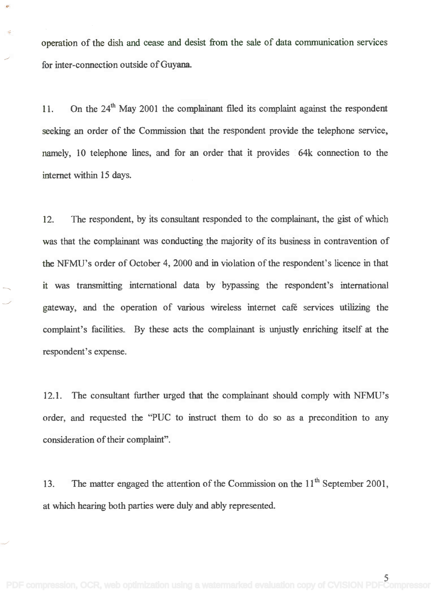operation of the dish and cease and desist from the sale of data communication services operation of the dish and cease and desist from the sale of data communication services for inter-connection outside of Guyana. for inter-connection outside of Guyana.

11. On the  $24<sup>th</sup>$  May 2001 the complainant filed its complaint against the respondent seeking an order of the Commission that the respondent provide the telephone service, seeking an order of the Commission that the respondent provide the telephone service. namely, 10 telephone lines, and for an order that it provides 64k connection to the namely. 10 telephone lines, and for an order that it provides 64k connection to the internet within 15 days.

12. The respondent, by its consultant responded to the complainant, the gist of which 12. The respondent. by its consultant responded to the complainant. the gist of which was that the complainant was conducting the majority of its business in contravention of the NFMU's order of October 4, 2000 and in violation of the respondent's licence in that the NFMU's order of October 4,2000 and in violation of the respondent's licence in that it was transmitting international data by bypassing the respondent's international it was transmitting international data by bypassing the respondent's international gateway, and the operation of various wireless Internet café services utilizing the gateway. and the operation of various wireless internet cafe services utilizing the complaint's facilities. By these acts the complainant is unjustly enriching itself at the complaint's facilities. By these acts the complainant is unjustly enriching itself at the respondent's expense. respondent's expense.

12.1. The consultant further urged that the complainant should comply with NFMU's 12.1. The consultant further urged that the complainant should comply with NFMU's order, and requested the "PUC to instruct them to do so as a precondition to any order, and requested the "PUC to instruct them to do so as a precondition to any consideration of their complaint". consideration of their complaint".

13. The matter engaged the attention of the Commission on the  $11<sup>th</sup>$  September 2001, at which hearing both parties were duly and ably represented. at which hearing both parties were duly and ably represented.